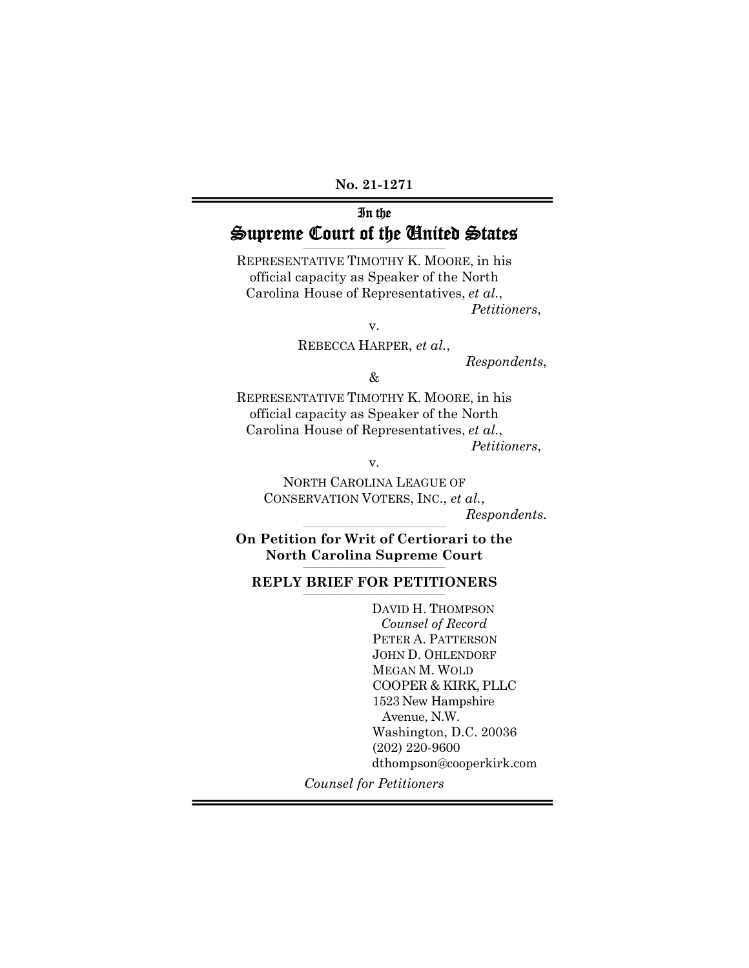**No. 21-1271** 

## In the Supreme Court of the United States **\_\_\_\_\_\_\_\_\_\_\_\_\_\_\_\_\_\_\_\_\_\_\_\_\_\_\_\_\_\_\_\_\_\_\_\_\_\_\_\_\_\_\_\_\_\_\_\_\_\_\_\_\_\_\_\_\_\_**

REPRESENTATIVE TIMOTHY K. MOORE, in his official capacity as Speaker of the North Carolina House of Representatives, *et al.*, *Petitioners*,

v.

REBECCA HARPER, *et al.*,

*Respondents*,

&

REPRESENTATIVE TIMOTHY K. MOORE, in his official capacity as Speaker of the North Carolina House of Representatives, *et al.*,

*Petitioners*,

v.

NORTH CAROLINA LEAGUE OF CONSERVATION VOTERS, INC., *et al.*, *Respondents*.

**\_\_\_\_\_\_\_\_\_\_\_\_\_\_\_\_\_\_\_\_\_\_\_\_\_\_\_\_\_\_\_\_\_\_\_\_\_\_\_\_\_\_\_\_\_\_\_\_\_\_\_\_\_\_\_\_\_\_ On Petition for Writ of Certiorari to the**  North Carolina Supreme Court

## REPLY BRIEF FOR PETITIONERS

DAVID H. THOMPSON *Counsel of Record*  PETER A. PATTERSON JOHN D. OHLENDORF MEGAN M. WOLD COOPER & KIRK, PLLC 1523 New Hampshire Avenue, N.W. Washington, D.C. 20036 (202) 220-9600 dthompson@cooperkirk.com

*Counsel for Petitioners*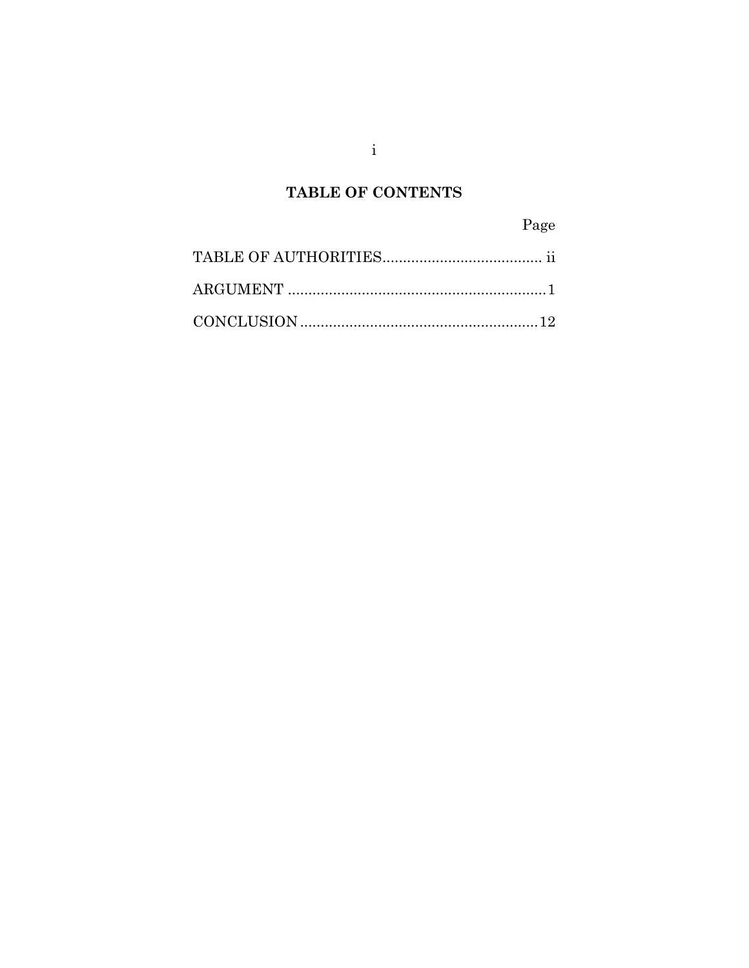# TABLE OF CONTENTS

Page

 $\mathbf{i}$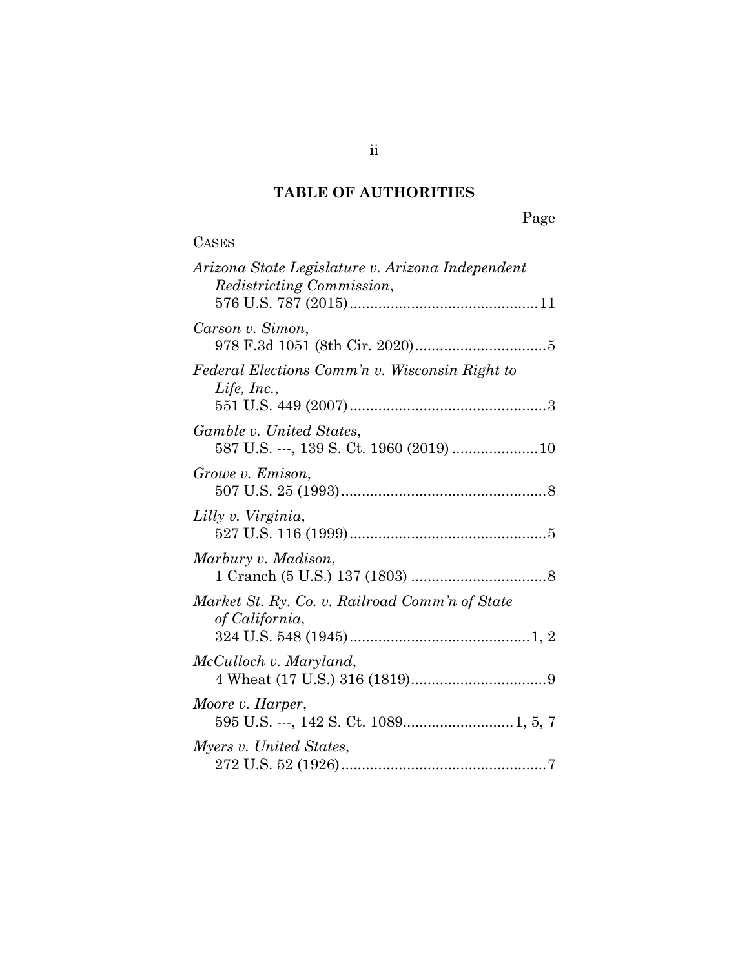# **TABLE OF AUTHORITIES**

| <b>CASES</b>                                                                  |
|-------------------------------------------------------------------------------|
| Arizona State Legislature v. Arizona Independent<br>Redistricting Commission, |
| Carson v. Simon,                                                              |
| Federal Elections Comm'n v. Wisconsin Right to<br>Life, Inc.,                 |
| Gamble v. United States,<br>587 U.S. ---, 139 S. Ct. 1960 (2019)  10          |
| Growe v. Emison,                                                              |
| Lilly v. Virginia,                                                            |
| Marbury v. Madison,                                                           |
| Market St. Ry. Co. v. Railroad Comm'n of State<br>of California,              |
| McCulloch v. Maryland,                                                        |
| Moore v. Harper,                                                              |
| Myers v. United States,                                                       |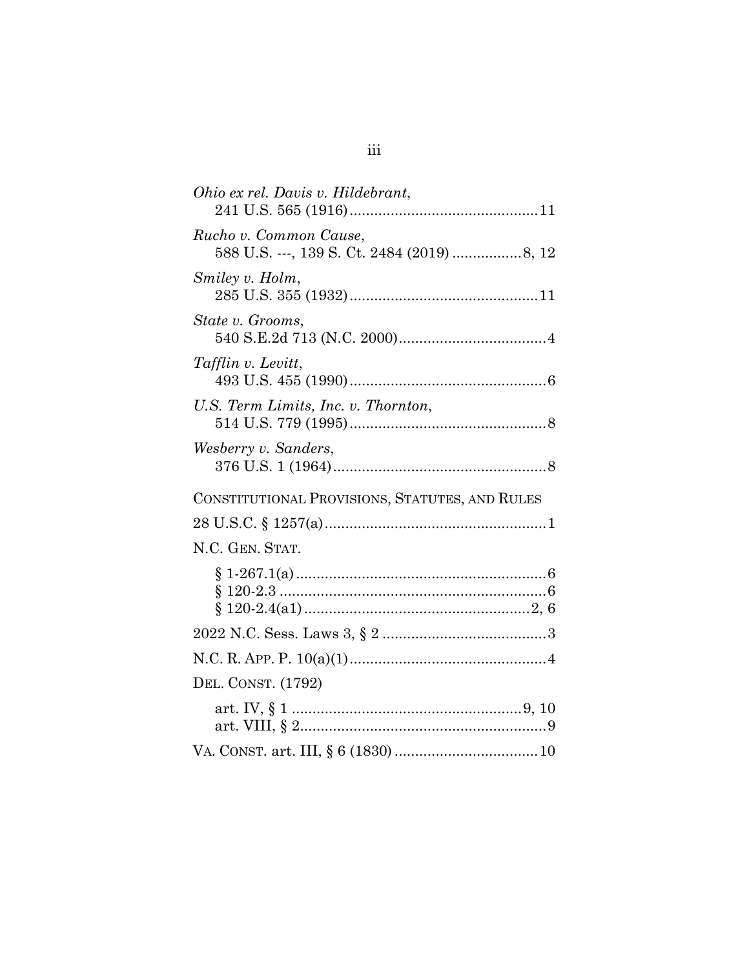| Ohio ex rel. Davis v. Hildebrant,              |
|------------------------------------------------|
| Rucho v. Common Cause,                         |
| Smiley v. Holm,                                |
| State v. Grooms,                               |
| <i>Tafflin v. Levitt,</i>                      |
| U.S. Term Limits, Inc. v. Thornton,            |
| Wesberry v. Sanders,                           |
| CONSTITUTIONAL PROVISIONS, STATUTES, AND RULES |
|                                                |
| N.C. GEN. STAT.                                |
|                                                |
|                                                |
|                                                |
| DEL. CONST. (1792)                             |
|                                                |
|                                                |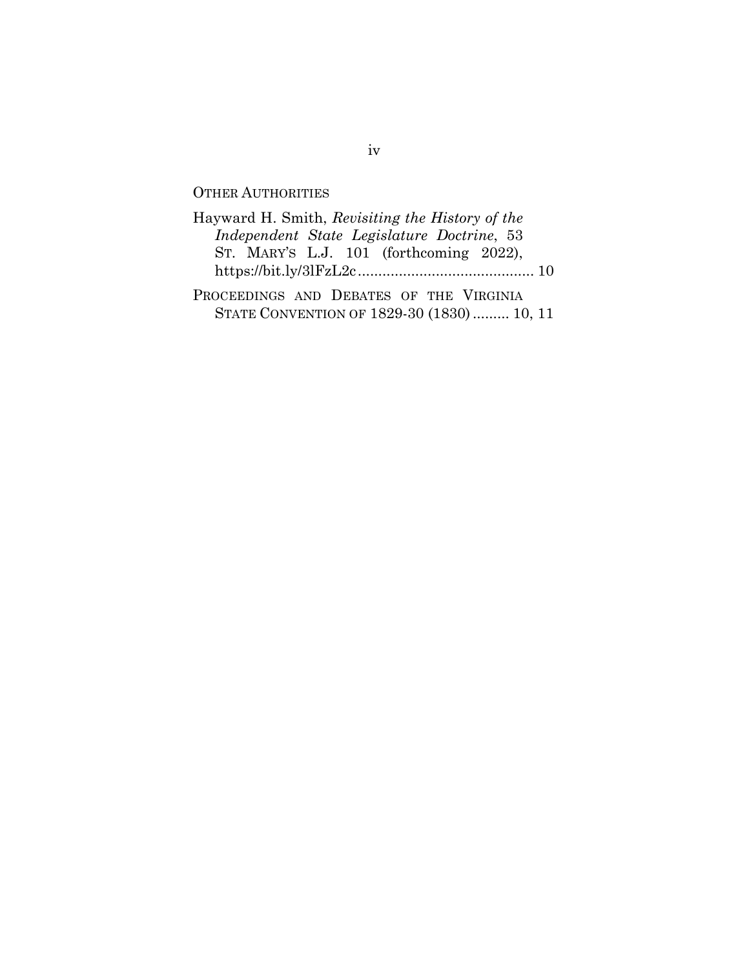# OTHER AUTHORITIES

| Hayward H. Smith, Revisiting the History of the |  |
|-------------------------------------------------|--|
| Independent State Legislature Doctrine, 53      |  |
| ST. MARY'S L.J. $101$ (forthcoming 2022),       |  |
|                                                 |  |
| PROCEEDINGS AND DEBATES OF THE VIRGINIA         |  |

STATE CONVENTION OF 1829-30 (1830) ......... 10, 11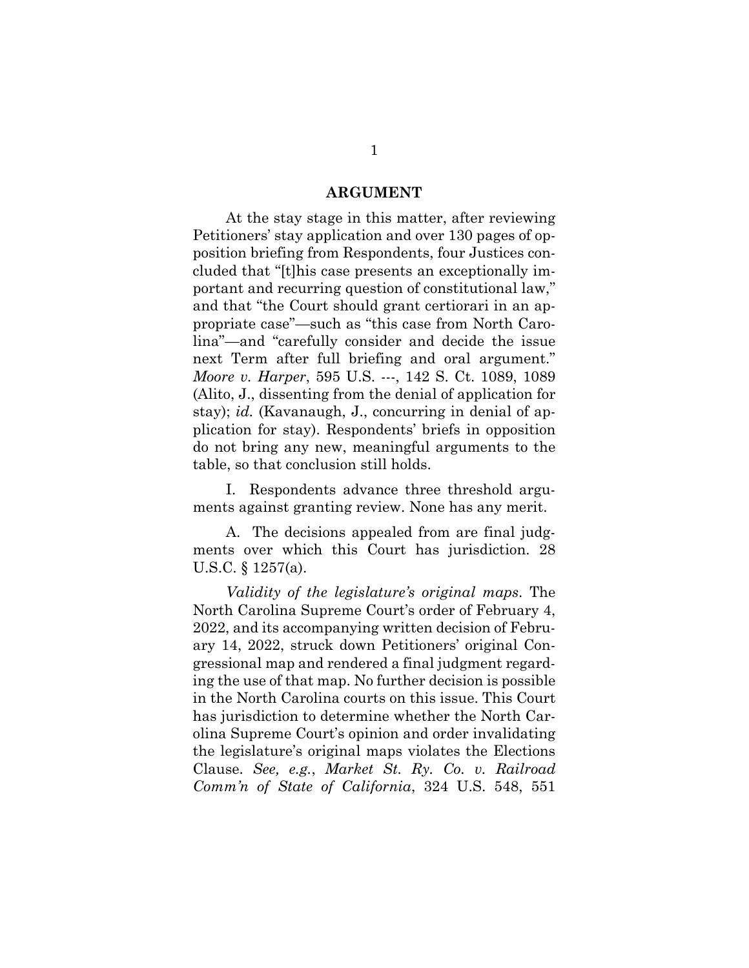#### **ARGUMENT**

At the stay stage in this matter, after reviewing Petitioners' stay application and over 130 pages of opposition briefing from Respondents, four Justices concluded that "[t]his case presents an exceptionally important and recurring question of constitutional law," and that "the Court should grant certiorari in an appropriate case"—such as "this case from North Carolina"—and "carefully consider and decide the issue next Term after full briefing and oral argument." *Moore v. Harper*, 595 U.S. ---, 142 S. Ct. 1089, 1089 (Alito, J., dissenting from the denial of application for stay); *id.* (Kavanaugh, J., concurring in denial of application for stay). Respondents' briefs in opposition do not bring any new, meaningful arguments to the table, so that conclusion still holds.

I. Respondents advance three threshold arguments against granting review. None has any merit.

A. The decisions appealed from are final judgments over which this Court has jurisdiction. 28 U.S.C. § 1257(a).

*Validity of the legislature's original maps*. The North Carolina Supreme Court's order of February 4, 2022, and its accompanying written decision of February 14, 2022, struck down Petitioners' original Congressional map and rendered a final judgment regarding the use of that map. No further decision is possible in the North Carolina courts on this issue. This Court has jurisdiction to determine whether the North Carolina Supreme Court's opinion and order invalidating the legislature's original maps violates the Elections Clause. *See, e.g.*, *Market St. Ry. Co. v. Railroad Comm'n of State of California*, 324 U.S. 548, 551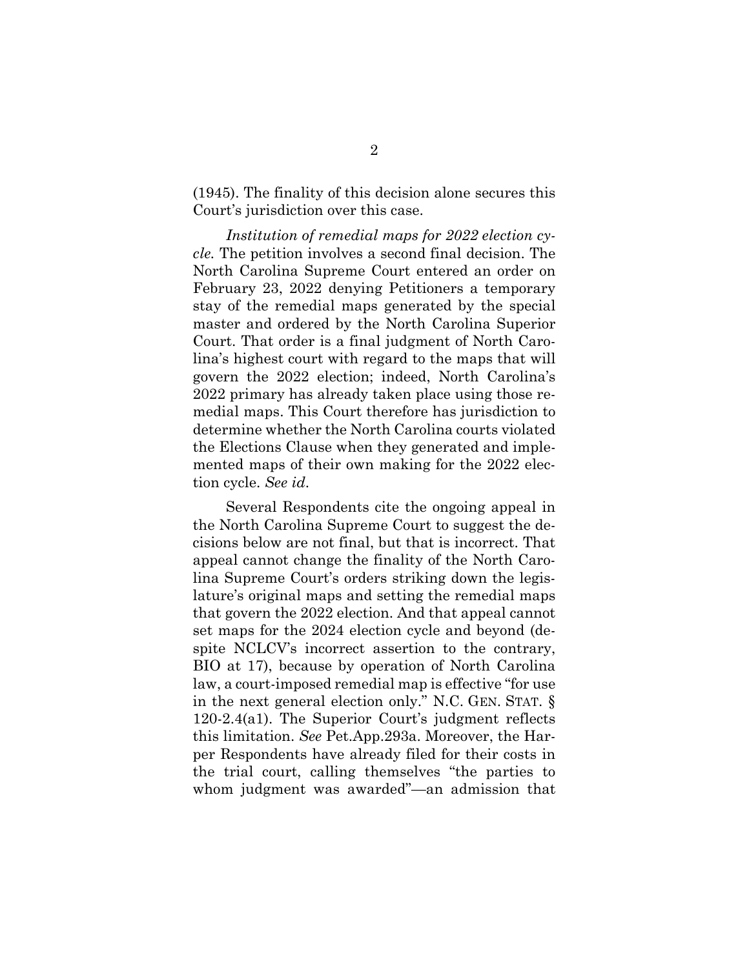(1945). The finality of this decision alone secures this Court's jurisdiction over this case.

*Institution of remedial maps for 2022 election cycle.* The petition involves a second final decision. The North Carolina Supreme Court entered an order on February 23, 2022 denying Petitioners a temporary stay of the remedial maps generated by the special master and ordered by the North Carolina Superior Court. That order is a final judgment of North Carolina's highest court with regard to the maps that will govern the 2022 election; indeed, North Carolina's 2022 primary has already taken place using those remedial maps. This Court therefore has jurisdiction to determine whether the North Carolina courts violated the Elections Clause when they generated and implemented maps of their own making for the 2022 election cycle. *See id*.

Several Respondents cite the ongoing appeal in the North Carolina Supreme Court to suggest the decisions below are not final, but that is incorrect. That appeal cannot change the finality of the North Carolina Supreme Court's orders striking down the legislature's original maps and setting the remedial maps that govern the 2022 election. And that appeal cannot set maps for the 2024 election cycle and beyond (despite NCLCV's incorrect assertion to the contrary, BIO at 17), because by operation of North Carolina law, a court-imposed remedial map is effective "for use in the next general election only." N.C. GEN. STAT. § 120-2.4(a1). The Superior Court's judgment reflects this limitation. *See* Pet.App.293a. Moreover, the Harper Respondents have already filed for their costs in the trial court, calling themselves "the parties to whom judgment was awarded"—an admission that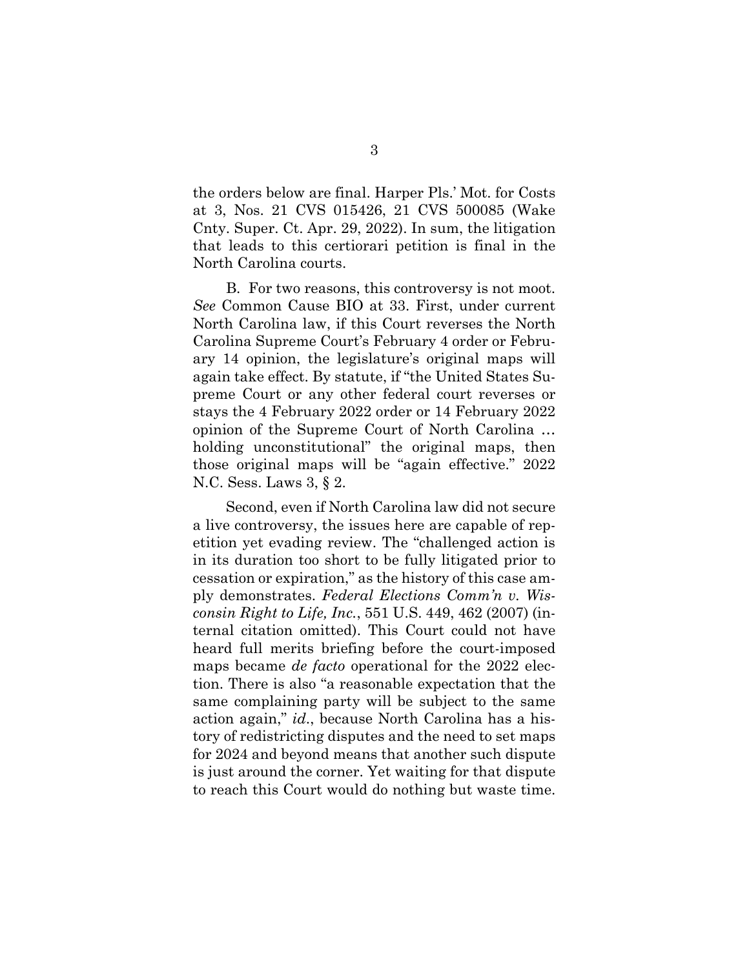the orders below are final. Harper Pls.' Mot. for Costs at 3, Nos. 21 CVS 015426, 21 CVS 500085 (Wake Cnty. Super. Ct. Apr. 29, 2022). In sum, the litigation that leads to this certiorari petition is final in the North Carolina courts.

B. For two reasons, this controversy is not moot. *See* Common Cause BIO at 33. First, under current North Carolina law, if this Court reverses the North Carolina Supreme Court's February 4 order or February 14 opinion, the legislature's original maps will again take effect. By statute, if "the United States Supreme Court or any other federal court reverses or stays the 4 February 2022 order or 14 February 2022 opinion of the Supreme Court of North Carolina … holding unconstitutional" the original maps, then those original maps will be "again effective." 2022 N.C. Sess. Laws 3, § 2.

Second, even if North Carolina law did not secure a live controversy, the issues here are capable of repetition yet evading review. The "challenged action is in its duration too short to be fully litigated prior to cessation or expiration," as the history of this case amply demonstrates. *Federal Elections Comm'n v. Wisconsin Right to Life, Inc.*, 551 U.S. 449, 462 (2007) (internal citation omitted). This Court could not have heard full merits briefing before the court-imposed maps became *de facto* operational for the 2022 election. There is also "a reasonable expectation that the same complaining party will be subject to the same action again," *id*., because North Carolina has a history of redistricting disputes and the need to set maps for 2024 and beyond means that another such dispute is just around the corner. Yet waiting for that dispute to reach this Court would do nothing but waste time.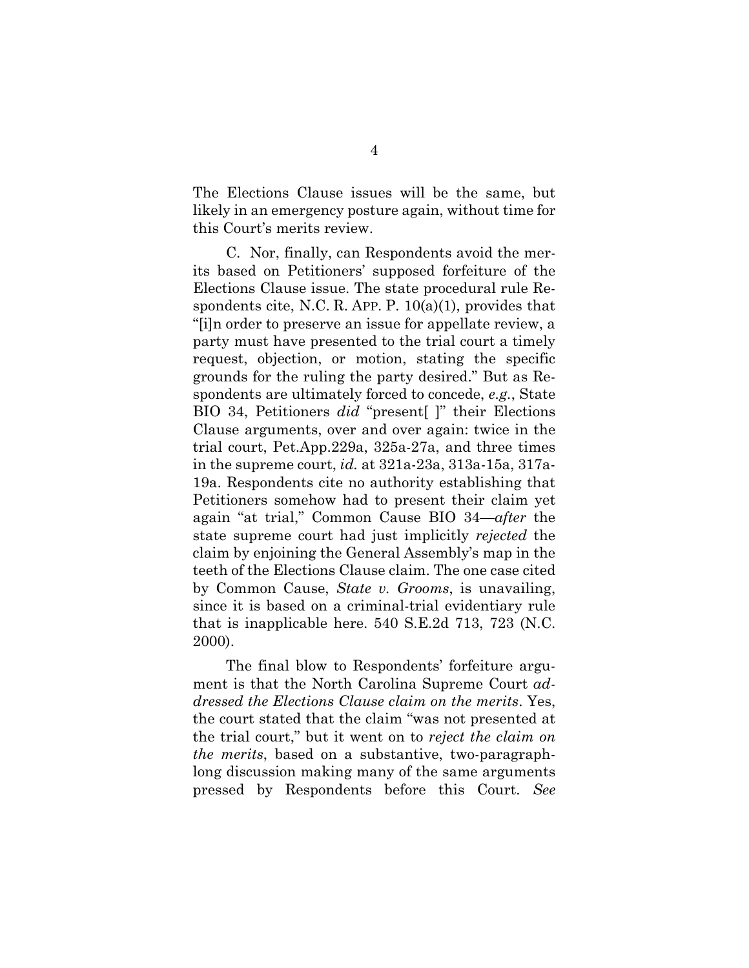The Elections Clause issues will be the same, but likely in an emergency posture again, without time for this Court's merits review.

C. Nor, finally, can Respondents avoid the merits based on Petitioners' supposed forfeiture of the Elections Clause issue. The state procedural rule Respondents cite, N.C. R. APP. P.  $10(a)(1)$ , provides that "[i]n order to preserve an issue for appellate review, a party must have presented to the trial court a timely request, objection, or motion, stating the specific grounds for the ruling the party desired." But as Respondents are ultimately forced to concede, *e.g.*, State BIO 34, Petitioners *did* "present[ ]" their Elections Clause arguments, over and over again: twice in the trial court, Pet.App.229a, 325a-27a, and three times in the supreme court, *id.* at 321a-23a, 313a-15a, 317a-19a. Respondents cite no authority establishing that Petitioners somehow had to present their claim yet again "at trial," Common Cause BIO 34—*after* the state supreme court had just implicitly *rejected* the claim by enjoining the General Assembly's map in the teeth of the Elections Clause claim. The one case cited by Common Cause, *State v. Grooms*, is unavailing, since it is based on a criminal-trial evidentiary rule that is inapplicable here. 540 S.E.2d 713, 723 (N.C. 2000).

The final blow to Respondents' forfeiture argument is that the North Carolina Supreme Court *addressed the Elections Clause claim on the merits*. Yes, the court stated that the claim "was not presented at the trial court," but it went on to *reject the claim on the merits*, based on a substantive, two-paragraphlong discussion making many of the same arguments pressed by Respondents before this Court. *See*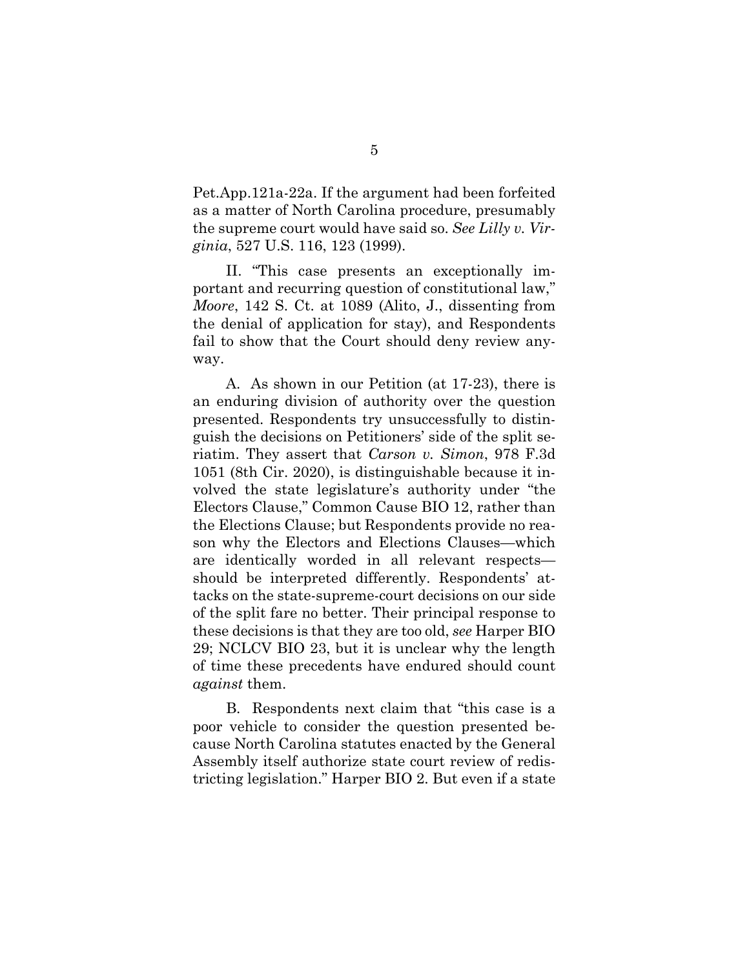Pet.App.121a-22a. If the argument had been forfeited as a matter of North Carolina procedure, presumably the supreme court would have said so. *See Lilly v. Virginia*, 527 U.S. 116, 123 (1999).

II. "This case presents an exceptionally important and recurring question of constitutional law," *Moore*, 142 S. Ct. at 1089 (Alito, J., dissenting from the denial of application for stay), and Respondents fail to show that the Court should deny review anyway.

A. As shown in our Petition (at 17-23), there is an enduring division of authority over the question presented. Respondents try unsuccessfully to distinguish the decisions on Petitioners' side of the split seriatim. They assert that *Carson v. Simon*, 978 F.3d 1051 (8th Cir. 2020), is distinguishable because it involved the state legislature's authority under "the Electors Clause," Common Cause BIO 12, rather than the Elections Clause; but Respondents provide no reason why the Electors and Elections Clauses—which are identically worded in all relevant respects should be interpreted differently. Respondents' attacks on the state-supreme-court decisions on our side of the split fare no better. Their principal response to these decisions is that they are too old, *see* Harper BIO 29; NCLCV BIO 23, but it is unclear why the length of time these precedents have endured should count *against* them.

B. Respondents next claim that "this case is a poor vehicle to consider the question presented because North Carolina statutes enacted by the General Assembly itself authorize state court review of redistricting legislation." Harper BIO 2. But even if a state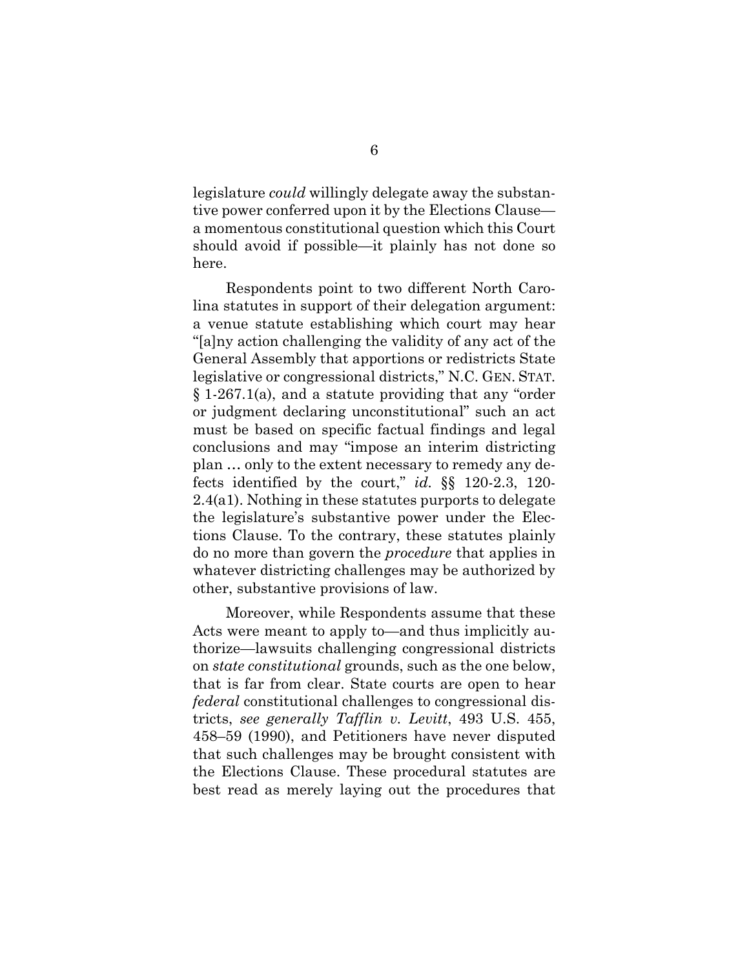legislature *could* willingly delegate away the substantive power conferred upon it by the Elections Clause a momentous constitutional question which this Court should avoid if possible—it plainly has not done so here.

Respondents point to two different North Carolina statutes in support of their delegation argument: a venue statute establishing which court may hear "[a]ny action challenging the validity of any act of the General Assembly that apportions or redistricts State legislative or congressional districts," N.C. GEN. STAT. § 1-267.1(a), and a statute providing that any "order or judgment declaring unconstitutional" such an act must be based on specific factual findings and legal conclusions and may "impose an interim districting plan … only to the extent necessary to remedy any defects identified by the court," *id.* §§ 120-2.3, 120- 2.4(a1). Nothing in these statutes purports to delegate the legislature's substantive power under the Elections Clause. To the contrary, these statutes plainly do no more than govern the *procedure* that applies in whatever districting challenges may be authorized by other, substantive provisions of law.

Moreover, while Respondents assume that these Acts were meant to apply to—and thus implicitly authorize—lawsuits challenging congressional districts on *state constitutional* grounds, such as the one below, that is far from clear. State courts are open to hear *federal* constitutional challenges to congressional districts, *see generally Tafflin v. Levitt*, 493 U.S. 455, 458–59 (1990), and Petitioners have never disputed that such challenges may be brought consistent with the Elections Clause. These procedural statutes are best read as merely laying out the procedures that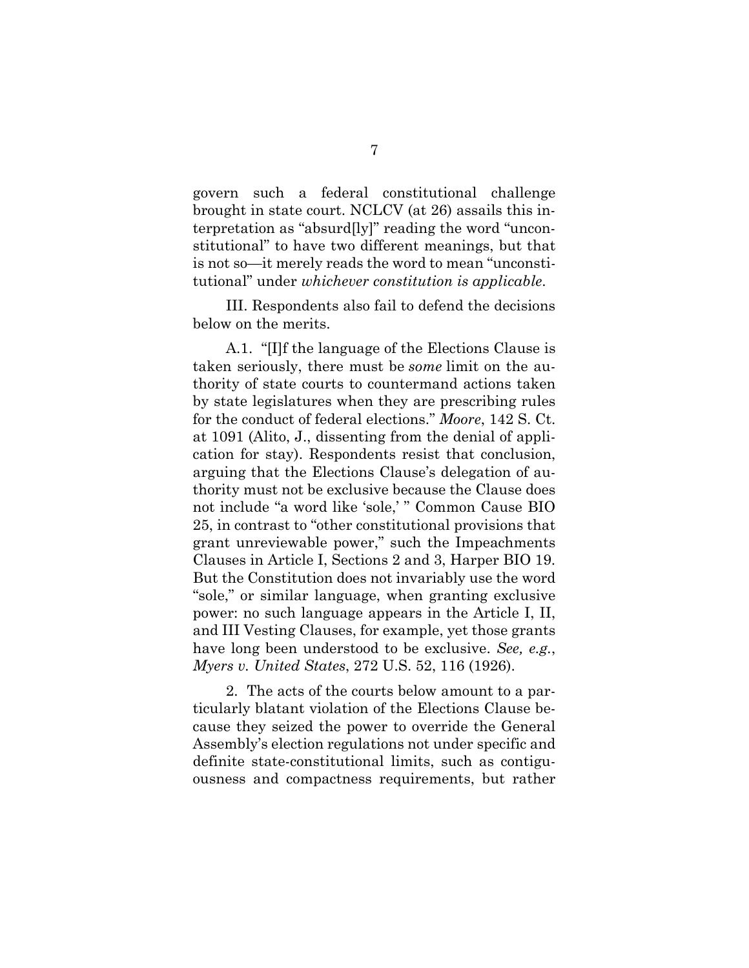govern such a federal constitutional challenge brought in state court. NCLCV (at 26) assails this interpretation as "absurd[ly]" reading the word "unconstitutional" to have two different meanings, but that is not so—it merely reads the word to mean "unconstitutional" under *whichever constitution is applicable*.

III. Respondents also fail to defend the decisions below on the merits.

A.1. "[I]f the language of the Elections Clause is taken seriously, there must be *some* limit on the authority of state courts to countermand actions taken by state legislatures when they are prescribing rules for the conduct of federal elections." *Moore*, 142 S. Ct. at 1091 (Alito, J., dissenting from the denial of application for stay). Respondents resist that conclusion, arguing that the Elections Clause's delegation of authority must not be exclusive because the Clause does not include "a word like 'sole,' " Common Cause BIO 25, in contrast to "other constitutional provisions that grant unreviewable power," such the Impeachments Clauses in Article I, Sections 2 and 3, Harper BIO 19. But the Constitution does not invariably use the word "sole," or similar language, when granting exclusive power: no such language appears in the Article I, II, and III Vesting Clauses, for example, yet those grants have long been understood to be exclusive. *See, e.g.*, *Myers v. United States*, 272 U.S. 52, 116 (1926).

2. The acts of the courts below amount to a particularly blatant violation of the Elections Clause because they seized the power to override the General Assembly's election regulations not under specific and definite state-constitutional limits, such as contiguousness and compactness requirements, but rather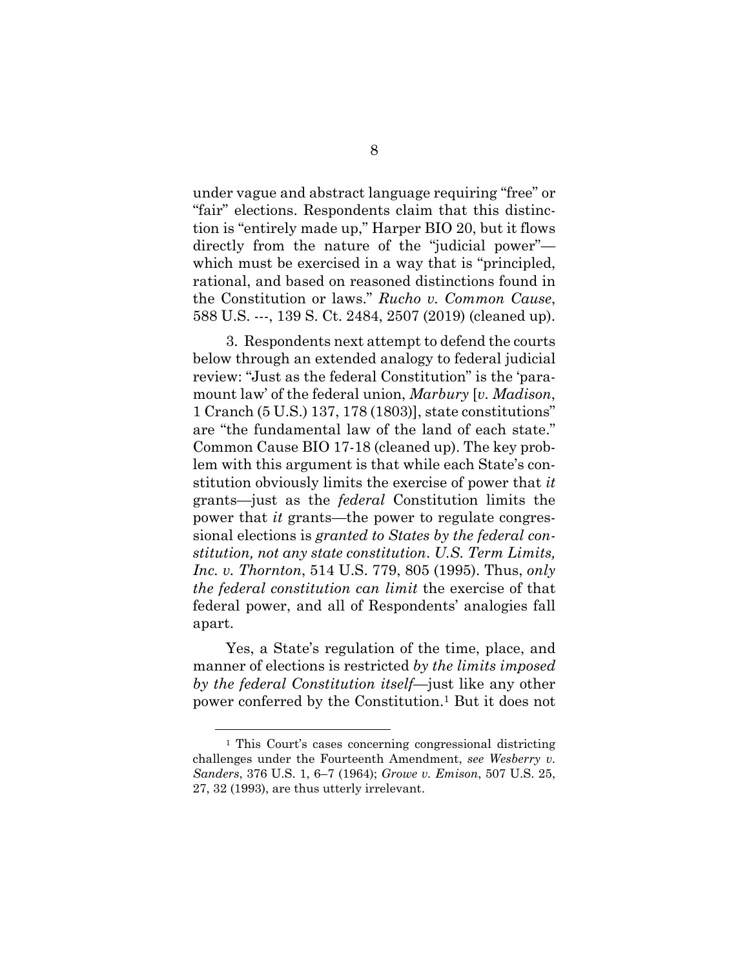under vague and abstract language requiring "free" or "fair" elections. Respondents claim that this distinction is "entirely made up," Harper BIO 20, but it flows directly from the nature of the "judicial power" which must be exercised in a way that is "principled, rational, and based on reasoned distinctions found in the Constitution or laws." *Rucho v. Common Cause*, 588 U.S. ---, 139 S. Ct. 2484, 2507 (2019) (cleaned up).

3. Respondents next attempt to defend the courts below through an extended analogy to federal judicial review: "Just as the federal Constitution" is the 'paramount law' of the federal union, *Marbury* [*v. Madison*, 1 Cranch (5 U.S.) 137, 178 (1803)], state constitutions" are "the fundamental law of the land of each state." Common Cause BIO 17-18 (cleaned up). The key problem with this argument is that while each State's constitution obviously limits the exercise of power that *it*  grants—just as the *federal* Constitution limits the power that *it* grants—the power to regulate congressional elections is *granted to States by the federal constitution, not any state constitution*. *U.S. Term Limits, Inc. v. Thornton*, 514 U.S. 779, 805 (1995). Thus, *only the federal constitution can limit* the exercise of that federal power, and all of Respondents' analogies fall apart.

Yes, a State's regulation of the time, place, and manner of elections is restricted *by the limits imposed by the federal Constitution itself*—just like any other power conferred by the Constitution.1 But it does not

<sup>1</sup> This Court's cases concerning congressional districting challenges under the Fourteenth Amendment, *see Wesberry v. Sanders*, 376 U.S. 1, 6–7 (1964); *Growe v. Emison*, 507 U.S. 25, 27, 32 (1993), are thus utterly irrelevant.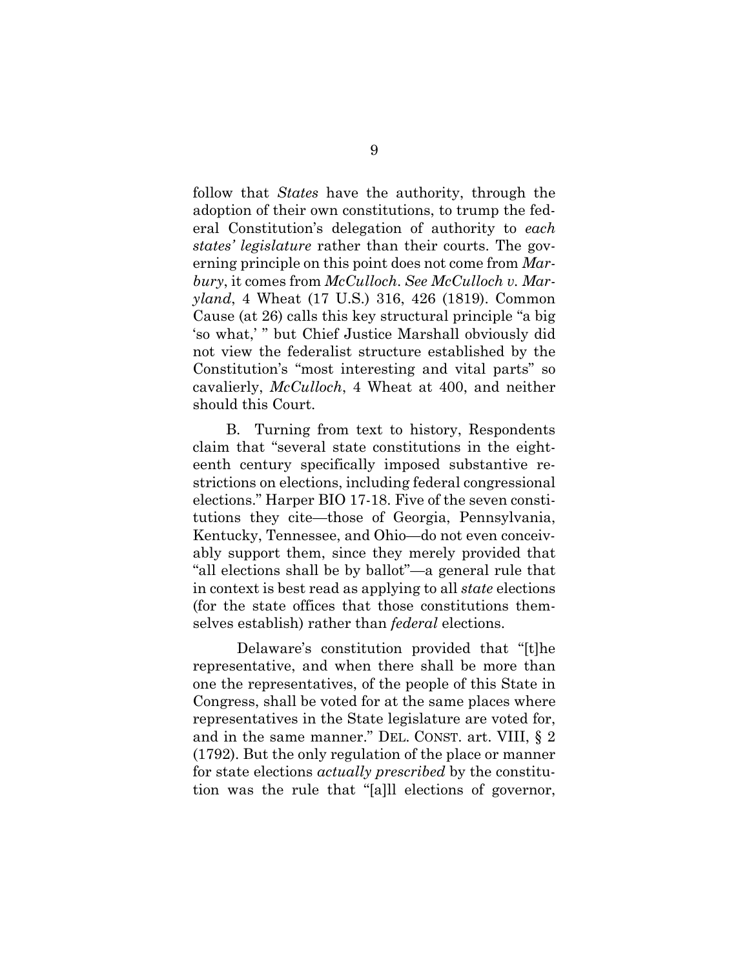follow that *States* have the authority, through the adoption of their own constitutions, to trump the federal Constitution's delegation of authority to *each states' legislature* rather than their courts. The governing principle on this point does not come from *Marbury*, it comes from *McCulloch*. *See McCulloch v. Maryland*, 4 Wheat (17 U.S.) 316, 426 (1819). Common Cause (at 26) calls this key structural principle "a big 'so what,' " but Chief Justice Marshall obviously did not view the federalist structure established by the Constitution's "most interesting and vital parts" so cavalierly, *McCulloch*, 4 Wheat at 400, and neither should this Court.

B. Turning from text to history, Respondents claim that "several state constitutions in the eighteenth century specifically imposed substantive restrictions on elections, including federal congressional elections." Harper BIO 17-18. Five of the seven constitutions they cite—those of Georgia, Pennsylvania, Kentucky, Tennessee, and Ohio—do not even conceivably support them, since they merely provided that "all elections shall be by ballot"—a general rule that in context is best read as applying to all *state* elections (for the state offices that those constitutions themselves establish) rather than *federal* elections.

 Delaware's constitution provided that "[t]he representative, and when there shall be more than one the representatives, of the people of this State in Congress, shall be voted for at the same places where representatives in the State legislature are voted for, and in the same manner." DEL. CONST. art. VIII, § 2 (1792). But the only regulation of the place or manner for state elections *actually prescribed* by the constitution was the rule that "[a]ll elections of governor,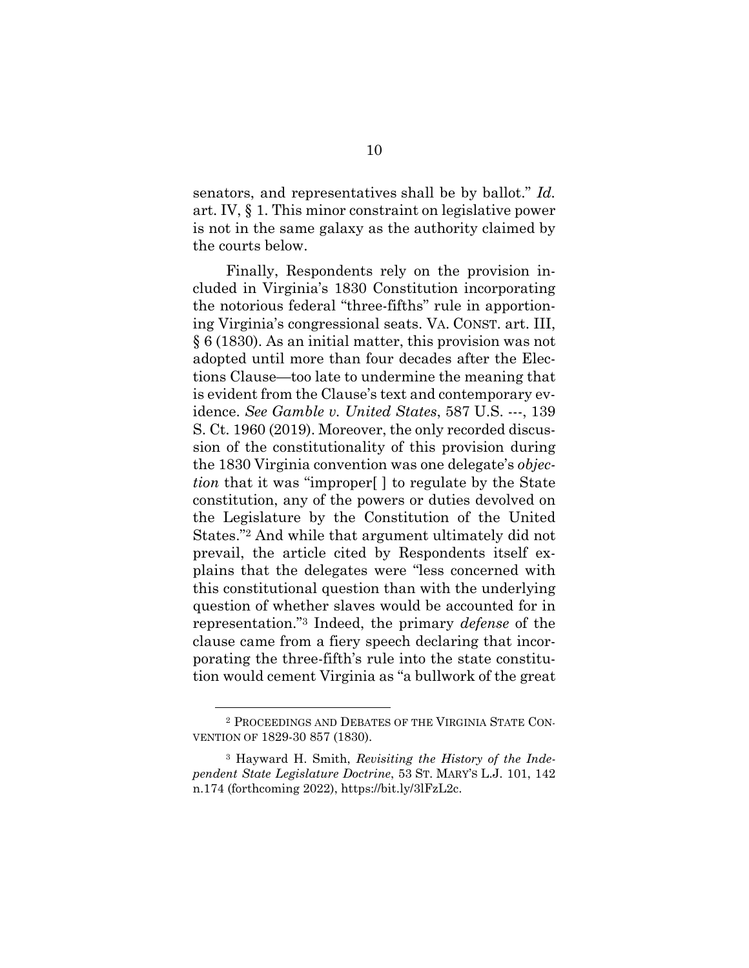senators, and representatives shall be by ballot." *Id.*  art. IV, § 1. This minor constraint on legislative power is not in the same galaxy as the authority claimed by the courts below.

Finally, Respondents rely on the provision included in Virginia's 1830 Constitution incorporating the notorious federal "three-fifths" rule in apportioning Virginia's congressional seats. VA. CONST. art. III, § 6 (1830). As an initial matter, this provision was not adopted until more than four decades after the Elections Clause—too late to undermine the meaning that is evident from the Clause's text and contemporary evidence. *See Gamble v. United States*, 587 U.S. ---, 139 S. Ct. 1960 (2019). Moreover, the only recorded discussion of the constitutionality of this provision during the 1830 Virginia convention was one delegate's *objection* that it was "improper" to regulate by the State constitution, any of the powers or duties devolved on the Legislature by the Constitution of the United States."2 And while that argument ultimately did not prevail, the article cited by Respondents itself explains that the delegates were "less concerned with this constitutional question than with the underlying question of whether slaves would be accounted for in representation."3 Indeed, the primary *defense* of the clause came from a fiery speech declaring that incorporating the three-fifth's rule into the state constitution would cement Virginia as "a bullwork of the great

<sup>2</sup> PROCEEDINGS AND DEBATES OF THE VIRGINIA STATE CON-VENTION OF 1829-30 857 (1830).

<sup>3</sup> Hayward H. Smith, *Revisiting the History of the Independent State Legislature Doctrine*, 53 ST. MARY'S L.J. 101, 142 n.174 (forthcoming 2022), https://bit.ly/3lFzL2c.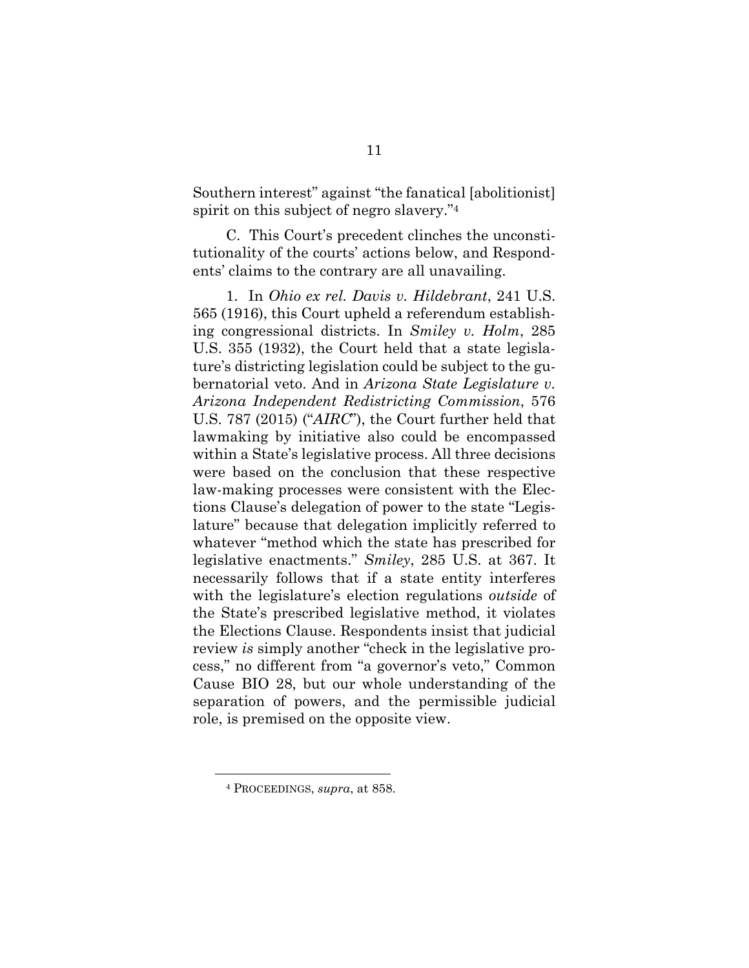Southern interest" against "the fanatical [abolitionist] spirit on this subject of negro slavery."4

C. This Court's precedent clinches the unconstitutionality of the courts' actions below, and Respondents' claims to the contrary are all unavailing.

1. In *Ohio ex rel. Davis v. Hildebrant*, 241 U.S. 565 (1916), this Court upheld a referendum establishing congressional districts. In *Smiley v. Holm*, 285 U.S. 355 (1932), the Court held that a state legislature's districting legislation could be subject to the gubernatorial veto. And in *Arizona State Legislature v. Arizona Independent Redistricting Commission*, 576 U.S. 787 (2015) ("*AIRC*"), the Court further held that lawmaking by initiative also could be encompassed within a State's legislative process. All three decisions were based on the conclusion that these respective law-making processes were consistent with the Elections Clause's delegation of power to the state "Legislature" because that delegation implicitly referred to whatever "method which the state has prescribed for legislative enactments." *Smiley*, 285 U.S. at 367. It necessarily follows that if a state entity interferes with the legislature's election regulations *outside* of the State's prescribed legislative method, it violates the Elections Clause. Respondents insist that judicial review *is* simply another "check in the legislative process," no different from "a governor's veto," Common Cause BIO 28, but our whole understanding of the separation of powers, and the permissible judicial role, is premised on the opposite view.

<sup>4</sup> PROCEEDINGS, *supra*, at 858.